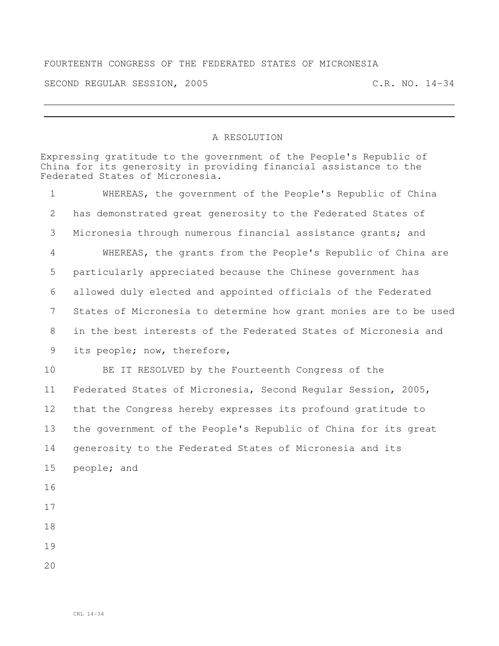## FOURTEENTH CONGRESS OF THE FEDERATED STATES OF MICRONESIA

SECOND REGULAR SESSION, 2005 C.R. NO. 14-34

## A RESOLUTION

Expressing gratitude to the government of the People's Republic of China for its generosity in providing financial assistance to the Federated States of Micronesia. WHEREAS, the government of the People's Republic of China has demonstrated great generosity to the Federated States of Micronesia through numerous financial assistance grants; and WHEREAS, the grants from the People's Republic of China are particularly appreciated because the Chinese government has allowed duly elected and appointed officials of the Federated States of Micronesia to determine how grant monies are to be used in the best interests of the Federated States of Micronesia and its people; now, therefore, BE IT RESOLVED by the Fourteenth Congress of the Federated States of Micronesia, Second Regular Session, 2005, that the Congress hereby expresses its profound gratitude to the government of the People's Republic of China for its great generosity to the Federated States of Micronesia and its people; and